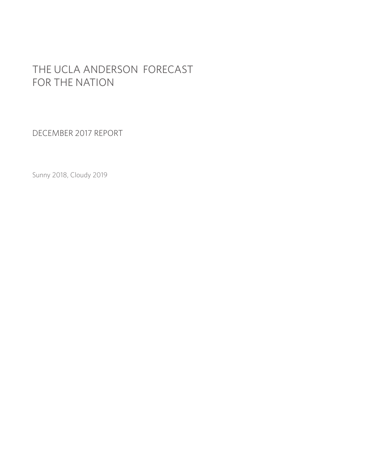# THE UCLA ANDERSON FORECAST FOR THE NATION

DECEMBER 2017 REPORT

Sunny 2018, Cloudy 2019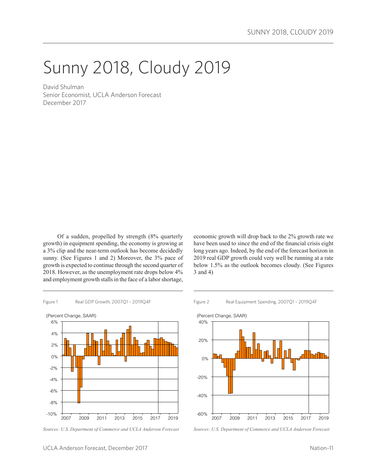# Sunny 2018, Cloudy 2019

David Shulman Senior Economist, UCLA Anderson Forecast December 2017

Of a sudden, propelled by strength (8% quarterly growth) in equipment spending, the economy is growing at a 3% clip and the near-term outlook has become decidedly sunny. (See Figures 1 and 2) Moreover, the 3% pace of growth is expected to continue through the second quarter of 2018. However, as the unemployment rate drops below 4% and employment growth stalls in the face of a labor shortage,

economic growth will drop back to the 2% growth rate we have been used to since the end of the financial crisis eight long years ago. Indeed, by the end of the forecast horizon in 2019 real GDP growth could very well be running at a rate below 1.5% as the outlook becomes cloudy. (See Figures 3 and 4)



*Sources: U.S. Department of Commerce and UCLA Anderson Forecast*





*Sources: U.S. Department of Commerce and UCLA Anderson Forecast*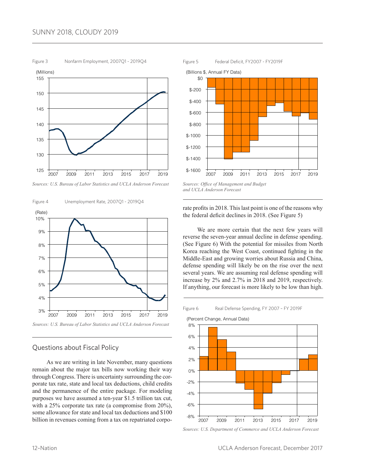### SUNNY 2018, CLOUDY 2019



*Sources: U.S. Bureau of Labor Statistics and UCLA Anderson Forecast*





# Questions about Fiscal Policy

As we are writing in late November, many questions remain about the major tax bills now working their way through Congress. There is uncertainty surrounding the corporate tax rate, state and local tax deductions, child credits and the permanence of the entire package. For modeling purposes we have assumed a ten-year \$1.5 trillion tax cut, with a 25% corporate tax rate (a compromise from 20%), some allowance for state and local tax deductions and \$100 billion in revenues coming from a tax on repatriated corpo-



*Sources: Office of Management and Budget and UCLA Anderson Forecast*

#### rate profits in 2018. This last point is one of the reasons why the federal deficit declines in 2018. (See Figure 5)

We are more certain that the next few years will reverse the seven-year annual decline in defense spending. (See Figure 6) With the potential for missiles from North Korea reaching the West Coast, continued fighting in the Middle-East and growing worries about Russia and China, defense spending will likely be on the rise over the next several years. We are assuming real defense spending will increase by 2% and 2.7% in 2018 and 2019, respectively. If anything, our forecast is more likely to be low than high.





*Sources: U.S. Department of Commerce and UCLA Anderson Forecast*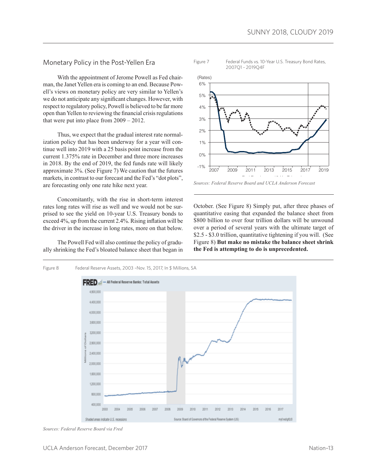Monetary Policy in the Post-Yellen Era

With the appointment of Jerome Powell as Fed chairman, the Janet Yellen era is coming to an end. Because Powell's views on monetary policy are very similar to Yellen's we do not anticipate any significant changes. However, with respect to regulatory policy, Powell is believed to be far more open than Yellen to reviewing the financial crisis regulations that were put into place from 2009 – 2012.

Thus, we expect that the gradual interest rate normalization policy that has been underway for a year will continue well into 2019 with a 25 basis point increase from the current 1.375% rate in December and three more increases in 2018. By the end of 2019, the fed funds rate will likely approximate 3%. (See Figure 7) We caution that the futures markets, in contrast to our forecast and the Fed's "dot plots", are forecasting only one rate hike next year.

Concomitantly, with the rise in short-term interest rates long rates will rise as well and we would not be surprised to see the yield on 10-year U.S. Treasury bonds to exceed 4%, up from the current 2.4%. Rising inflation will be the driver in the increase in long rates, more on that below.

The Powell Fed will also continue the policy of gradually shrinking the Fed's bloated balance sheet that began in





October. (See Figure 8) Simply put, after three phases of quantitative easing that expanded the balance sheet from \$800 billion to over four trillion dollars will be unwound over a period of several years with the ultimate target of \$2.5 - \$3.0 trillion, quantitative tightening if you will. (See Figure 8) **But make no mistake the balance sheet shrink the Fed is attempting to do is unprecedented.**



*Sources: Federal Reserve Board via Fred*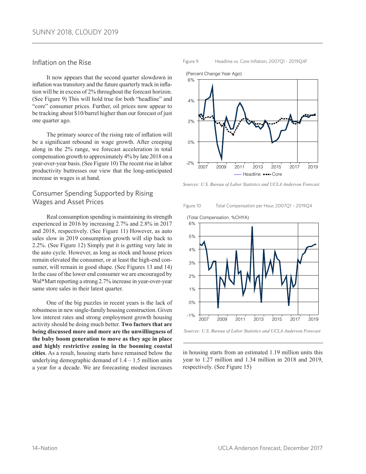#### Inflation on the Rise

It now appears that the second quarter slowdown in inflation was transitory and the future quarterly track in inflation will be in excess of 2% throughout the forecast horizon. (See Figure 9) This will hold true for both "headline" and "core" consumer prices. Further, oil prices now appear to be tracking about \$10/barrel higher than our forecast of just one quarter ago.

The primary source of the rising rate of inflation will be a significant rebound in wage growth. After creeping along in the 2% range, we forecast acceleration in total compensation growth to approximately 4% by late 2018 on a year-over-year basis. (See Figure 10) The recent rise in labor productivity buttresses our view that the long-anticipated increase in wages is at hand.

### Consumer Spending Supported by Rising Wages and Asset Prices

Real consumption spending is maintaining its strength experienced in 2016 by increasing 2.7% and 2.8% in 2017 and 2018, respectively. (See Figure 11) However, as auto sales slow in 2019 consumption growth will slip back to 2.2%. (See Figure 12) Simply put it is getting very late in the auto cycle. However, as long as stock and house prices remain elevated the consumer, or at least the high-end consumer, will remain in good shape. (See Figures 13 and 14) In the case of the lower end consumer we are encouraged by Wal\*Mart reporting a strong 2.7% increase in year-over-year same store sales in their latest quarter.

One of the big puzzles in recent years is the lack of robustness in new single-family housing construction. Given low interest rates and strong employment growth housing activity should be doing much better. **Two factors that are being discussed more and more are the unwillingness of the baby boom generation to move as they age in place and highly restrictive zoning in the booming coastal cities**. As a result, housing starts have remained below the underlying demographic demand of  $1.4 - 1.5$  million units a year for a decade. We are forecasting modest increases Figure 9 Headline vs. Core Inflation, 2007Q1 - 2019Q4F



*Sources: U.S. Bureau of Labor Statistics and UCLA Anderson Forecast*

Figure 10 Total Compensation per Hour, 2007Q1 – 2019Q4



*Sources: U.S. Bureau of Labor Statistics and UCLA Anderson Forecast*

in housing starts from an estimated 1.19 million units this year to 1.27 million and 1.34 million in 2018 and 2019, respectively. (See Figure 15)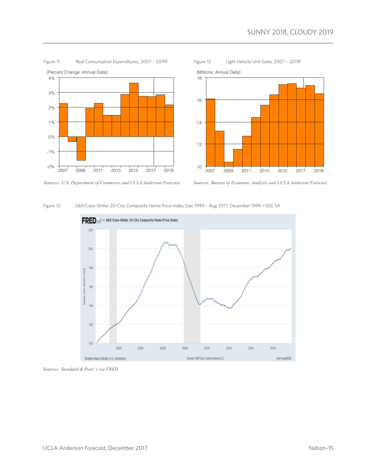

Figure 11 Real Consumption Expenditures, 2007 - 2019F Figure 12 Light Vehicle Unit Sales, 2007 – 2019F





*Sources: U.S. Department of Commerce and UCLA Anderson Forecast*



#### Figure 13 S&P/Case-Shiller 20-City Composite Home Price Index, Dec 1999 – Aug 2017, December 1999 =100, SA



*Sources: Standard & Poor's via FRED*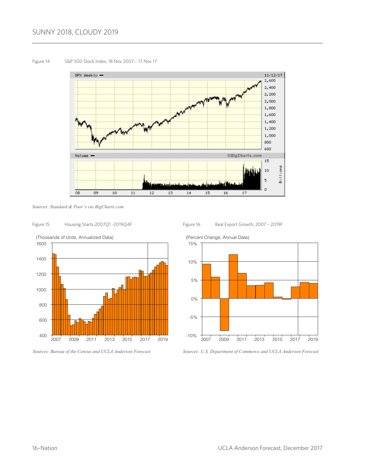## SUNNY 2018, CLOUDY 2019

#### Figure 14 S&P 500 Stock Index, 18 Nov 2007 – 17 Nov 17



*Sources: Standard & Poor's via BigCharts.com*

#### Figure 15 Housing Starts 2007Q1 -2019Q4F



*Sources: Bureau of the Census and UCLA Anderson Forecast*

Figure 16 Real Export Growth, 2007 - 2019F



*Sources: U.S. Department of Commerce and UCLA Anderson Forecast*